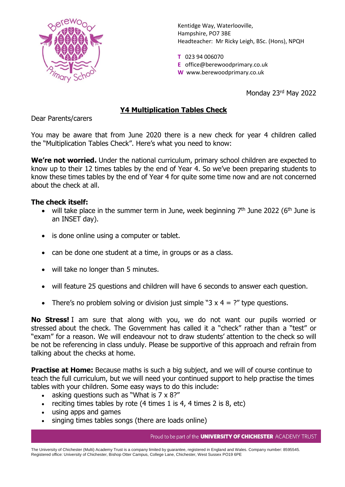

Kentidge Way, Waterlooville, Hampshire, PO7 3BE Headteacher: Mr Ricky Leigh, BSc. (Hons), NPQH

**T** 023 94 006070 **E** office@berewoodprimary.co.uk **W** www.berewoodprimary.co.uk

Monday 23rd May 2022

## **Y4 Multiplication Tables Check**

Dear Parents/carers

You may be aware that from June 2020 there is a new check for year 4 children called the "Multiplication Tables Check". Here's what you need to know:

**We're not worried.** Under the national curriculum, primary school children are expected to know up to their 12 times tables by the end of Year 4. So we've been preparing students to know these times tables by the end of Year 4 for quite some time now and are not concerned about the check at all.

## **The check itself:**

- will take place in the summer term in June, week beginning  $7<sup>th</sup>$  June 2022 (6<sup>th</sup> June is an INSET day).
- is done online using a computer or tablet.
- can be done one student at a time, in groups or as a class.
- will take no longer than 5 minutes.
- will feature 25 questions and children will have 6 seconds to answer each question.
- There's no problem solving or division just simple "3  $\times$  4 = ?" type questions.

**No Stress!** I am sure that along with you, we do not want our pupils worried or stressed about the check. The Government has called it a "check" rather than a "test" or "exam" for a reason. We will endeavour not to draw students' attention to the check so will be not be referencing in class unduly. Please be supportive of this approach and refrain from talking about the checks at home.

**Practise at Home:** Because maths is such a big subject, and we will of course continue to teach the full curriculum, but we will need your continued support to help practise the times tables with your children. Some easy ways to do this include:

- asking questions such as "What is 7 x 8?"
- reciting times tables by rote  $(4 \times 1)$  is 4, 4 times 2 is 8, etc)
- using apps and games
- singing times tables songs (there are loads online)

Proud to be part of the **UNIVERSITY OF CHICHESTER** ACADEMY TRUST

The University of Chichester (Multi) Academy Trust is a company limited by guarantee, registered in England and Wales. Company number: 8595545. Registered office: University of Chichester, Bishop Otter Campus, College Lane, Chichester, West Sussex PO19 6PE